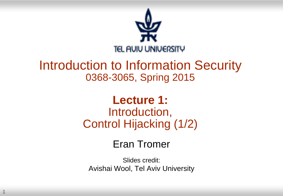

#### Introduction to Information Security 0368-3065, Spring 2015

#### **Lecture 1:** Introduction, Control Hijacking (1/2)

#### Eran Tromer

Slides credit: Avishai Wool, Tel Aviv University

1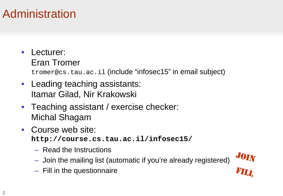#### Administration

#### Lecturer: Eran Tromer

tromer@cs.tau.ac.il (include "infosec15" in email subject)

- Leading teaching assistants: Itamar Gilad, Nir Krakowski
- Teaching assistant / exercise checker: Michal Shagam
- Course web site: **http://course.cs.tau.ac.il/infosec15/**
	- Read the Instructions
	- Join the mailing list (automatic if you're already registered)
- JOIN<br>FILL

– Fill in the questionnaire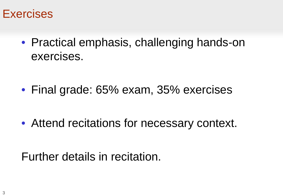

• Practical emphasis, challenging hands-on exercises.

• Final grade: 65% exam, 35% exercises

• Attend recitations for necessary context.

Further details in recitation.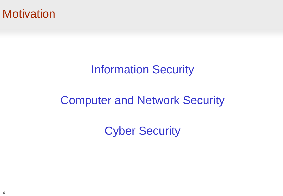#### **Motivation**

#### Information Security

#### Computer and Network Security

Cyber Security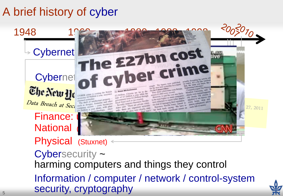#### A brief history of cyber

#### 1948

### The New H CYBR CONSTRUCTION

### e zantin Cyberne of cyber crime Cybernet **Cybernet**

1980

EV ROSS MCGUINNESS<br>
E2.2billion. Citizens are hit to the for the Cabinet Olliver couts Britain Computer expert Tim Water-<br>
E2.2billion a year while the They show cybercity second.<br>
The Internet based bargesim and the Cabi Data Breach at Sec. sented by secretary and one with phase and other are organised networks organised news, state

1988

to be even higher as many over attacks city streets. We there is and were relation to report of regarding the see there is and were relation to every soll for each year of the every soll of the relation of the street of th

that, the most becomes." computer expert Tim Was Nomfort University, said: 'll Montfort University<br>stracks were instead bappeain

 $\frac{1}{2}$ 

eity streets, UK citizens was

27, 2011

 $5070 -$ 

# Finance: **National** Physical (Stuxnet) <



Cybersecurity ~ harming computers and things they control Information / computer / network / control-system security, cryptography

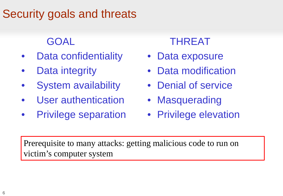#### Security goals and threats

#### GOAL

- Data confidentiality
- Data integrity
- System availability
- User authentication
- Privilege separation

#### THREAT

- Data exposure
- Data modification
- Denial of service
- Masquerading
- Privilege elevation

Prerequisite to many attacks: getting malicious code to run on victim's computer system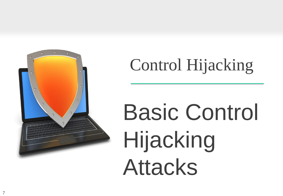

### Control Hijacking

# Basic Control Hijacking Attacks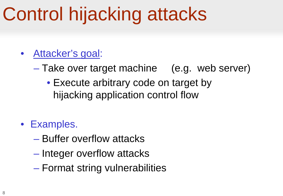### Control hijacking attacks

- Attacker's goal:
	- Take over target machine (e.g. web server)
		- Execute arbitrary code on target by hijacking application control flow

#### • Examples.

- Buffer overflow attacks
- Integer overflow attacks
- Format string vulnerabilities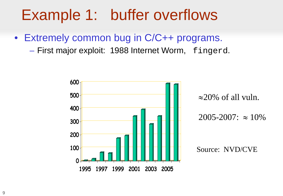### Example 1: buffer overflows

- Extremely common bug in C/C++ programs.
	- First major exploit: 1988 Internet Worm, fingerd.

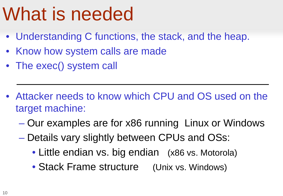### What is needed

- Understanding C functions, the stack, and the heap.
- Know how system calls are made
- The exec() system call
- Attacker needs to know which CPU and OS used on the target machine:
	- Our examples are for x86 running Linux or Windows
	- Details vary slightly between CPUs and OSs:
		- Little endian vs. big endian (x86 vs. Motorola)
		- Stack Frame structure (Unix vs. Windows)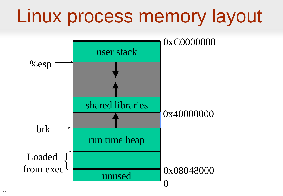### Linux process memory layout

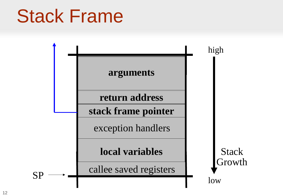### Stack Frame

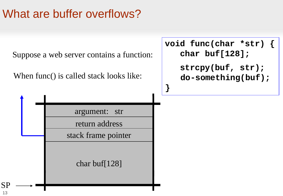#### What are buffer overflows?



13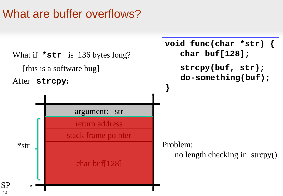#### What are buffer overflows?

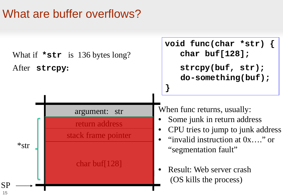#### What are buffer overflows?

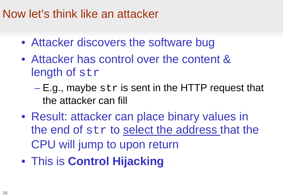#### Now let's think like an attacker

- Attacker discovers the software bug
- Attacker has control over the content & length of str
	- $-E.g.,$  maybe str is sent in the HTTP request that the attacker can fill
- Result: attacker can place binary values in the end of str to select the address that the CPU will jump to upon return
- This is **Control Hijacking**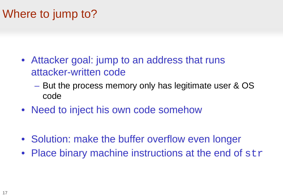#### Where to jump to?

- Attacker goal: jump to an address that runs attacker-written code
	- But the process memory only has legitimate user & OS code
- Need to inject his own code somehow
- Solution: make the buffer overflow even longer
- Place binary machine instructions at the end of str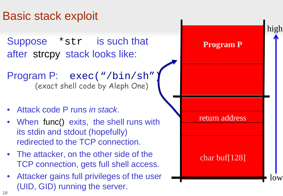#### Basic stack exploit

Suppose \*str is such that after strcpy stack looks like:

Program P: exec("/bin/sh") (exact shell code by Aleph One)

- Attack code P runs *in stack*.
- When func() exits, the shell runs with its stdin and stdout (hopefully) redirected to the TCP connection.
- The attacker, on the other side of the TCP connection, gets full shell access.
- Attacker gains full privileges of the user (UID, GID) running the server.

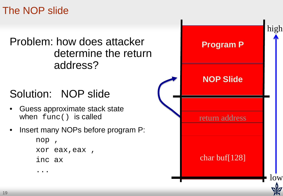The NOP slide

#### Problem: how does attacker determine the return address?

#### Solution: NOP slide

- Guess approximate stack state when func() is called
- Insert many NOPs before program P:

```
nop , 
xor eax,eax ,
inc ax
...
```
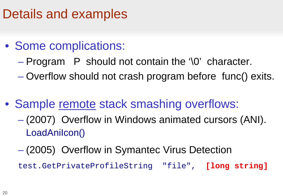#### Details and examples

#### • Some complications:

- $-$  Program P should not contain the '\0' character.
- Overflow should not crash program before func() exits.
- Sample remote stack smashing overflows:
	- (2007) Overflow in Windows animated cursors (ANI). LoadAniIcon()
	- (2005) Overflow in Symantec Virus Detection

test.GetPrivateProfileString "file", **[long string]**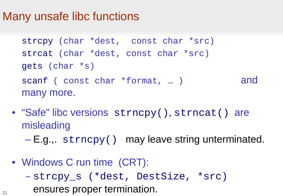#### Many unsafe libc functions

```
strcpy (char *dest, const char *src)
strcat (char *dest, const char *src)
gets (char *s)
scanf ( const char *format, ... ) and
many more.
```
- "Safe" libc versions strncpy(), strncat() are misleading
	- E.g.,. strncpy() may leave string unterminated.
- Windows C run time (CRT):
	- strcpy\_s (\*dest, DestSize, \*src) ensures proper termination.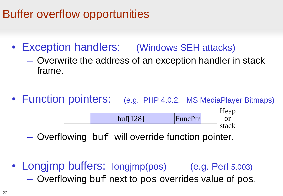#### Buffer overflow opportunities

- Exception handlers: (Windows SEH attacks)
	- Overwrite the address of an exception handler in stack frame.
- Function pointers: (e.g. PHP 4.0.2, MS MediaPlayer Bitmaps)

Heap or stack buf[128] FuncPtr

- Overflowing buf will override function pointer.
- Longjmp buffers: longjmp(pos) (e.g. Perl 5.003)
	- Overflowing buf next to pos overrides value of pos.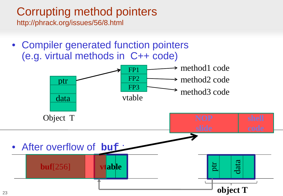#### Corrupting method pointers

http://phrack.org/issues/56/8.html

• Compiler generated function pointers (e.g. virtual methods in C++ code)

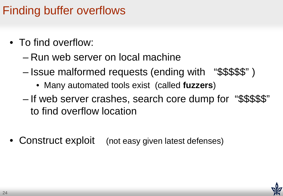#### Finding buffer overflows

- To find overflow:
	- Run web server on local machine
	- Issue malformed requests (ending with "\$\$\$\$\$" )
		- Many automated tools exist (called **fuzzers**)
	- If web server crashes, search core dump for "\$\$\$\$\$" to find overflow location
- Construct exploit (not easy given latest defenses)

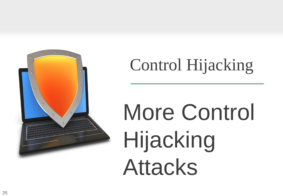

### Control Hijacking

# More Control Hijacking Attacks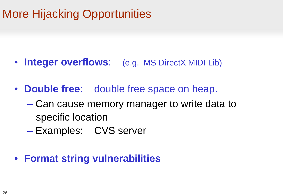#### More Hijacking Opportunities

- **Integer overflows**: (e.g. MS DirectX MIDI Lib)
- **Double free**: double free space on heap.
	- Can cause memory manager to write data to specific location
	- Examples: CVS server

#### • **Format string vulnerabilities**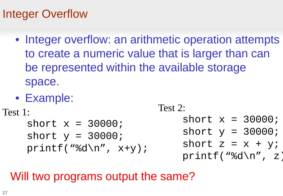#### Integer Overflow

- Integer overflow: an arithmetic operation attempts to create a numeric value that is larger than can be represented within the available storage space.
- Example:

```
Test 1:
    short x = 30000;
    short y = 30000;
    printf("%d\n", x+y);
                            Test 2:
                                short x = 30000;
                                short y = 30000;
                                short z = x + yiprintf("%d\n", z)
```
#### Will two programs output the same?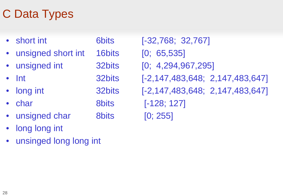#### C Data Types

| short int          | <b>6bits</b> |
|--------------------|--------------|
| unsigned short int | 16bits       |
| unsigned int       | 32bits       |
| Int                | 32bits       |
| long int           | 32bits       |
| char               | <b>8bits</b> |
| unsigned char      | <b>8bits</b> |
|                    |              |

- long long int
- unsinged long long int

 $[-32,768; 32,767]$  $[0; 65,535]$  $[0; 4,294,967,295]$ [-2,147,483,648; 2,147,483,647]  $[-2,147,483,648; 2,147,483,647]$  $[-128; 127]$  $[0; 255]$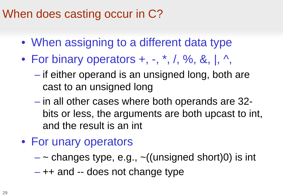#### When does casting occur in C?

- When assigning to a different data type
- For binary operators  $+$ ,  $-$ ,  $*$ ,  $/$ ,  $\%$ ,  $\&$ ,  $|$ ,  $\land$ ,
	- if either operand is an unsigned long, both are cast to an unsigned long
	- in all other cases where both operands are 32 bits or less, the arguments are both upcast to int, and the result is an int
- For unary operators
	- $-$  ~ changes type, e.g.,  $\sim$  ((unsigned short)0) is int
	- ++ and -- does not change type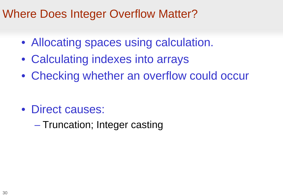#### Where Does Integer Overflow Matter?

- Allocating spaces using calculation.
- Calculating indexes into arrays
- Checking whether an overflow could occur

- Direct causes:
	- Truncation; Integer casting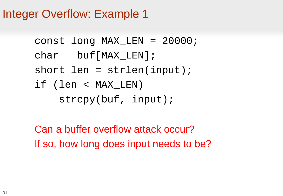#### Integer Overflow: Example 1

```
const long MAX_LEN = 20000;
char buf[MAX_LEN];
short len = strlen(input);if (len < MAX_LEN) 
    strcpy(buf, input);
```
Can a buffer overflow attack occur? If so, how long does input needs to be?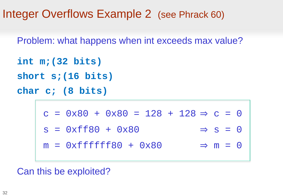Integer Overflows Example 2 (see Phrack 60)

Problem: what happens when int exceeds max value?

```
int m;(32 bits)
```
**short s;(16 bits)**

**char c; (8 bits)**

 $c = 0 \times 80 + 0 \times 80 = 128 + 128 \Rightarrow c = 0$  $s = 0xff80 + 0x80 \Rightarrow s = 0$  $m = 0 \times f f f f f f f 80 + 0 \times 80 \implies m = 0$ 

Can this be exploited?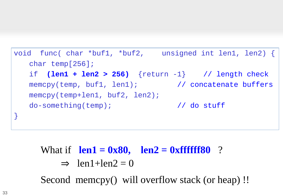```
void func( char *buf1, *buf2, unsigned int len1, len2) {
   char temp[256];
   if (len1 + len2 > 256) {return -1} // length check
   memcpy(temp, buf1, len1); // concatenate buffers
   memcpy(temp+len1, buf2, len2);
   do-something(temp); // do stuff
}
```

```
What if len1 = 0x80, len2 = 0xffffff80 ?
     \Rightarrow len1+len2 = 0
```
Second memcpy() will overflow stack (or heap) !!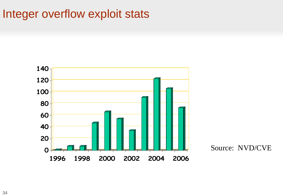#### Integer overflow exploit stats



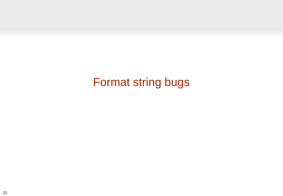#### Format string bugs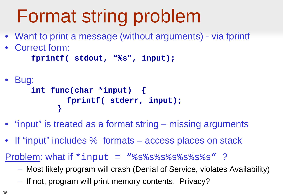### Format string problem

- Want to print a message (without arguments) via fprintf
- Correct form:

```
fprintf( stdout, "%s", input);
```

```
• Bug:
    int func(char *input) {
            fprintf( stderr, input);
          }
```
- "input" is treated as a format string missing arguments
- If "input" includes % formats access places on stack

Problem: what if \*input = "%s%s%s%s%s%s%s" ?

- Most likely program will crash (Denial of Service, violates Availability)
- If not, program will print memory contents. Privacy?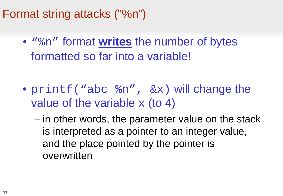#### Format string attacks ("%n")

• "%n" format **writes** the number of bytes formatted so far into a variable!

- printf("abc  $sn$ ",  $\&x$ ) will change the value of the variable  $x$  (to 4)
	- in other words, the parameter value on the stack is interpreted as a pointer to an integer value, and the place pointed by the pointer is overwritten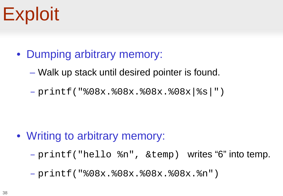### **Exploit**

- Dumping arbitrary memory:
	- Walk up stack until desired pointer is found.

– printf("%08x.%08x.%08x.%08x|%s|")

- Writing to arbitrary memory:
	- printf("hello %n", &temp) writes "6" into temp.

– printf("%08x.%08x.%08x.%08x.%n")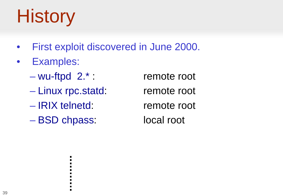## **History**

- First exploit discovered in June 2000.
- Examples:
	- wu-ftpd 2.\* : remote root
	- Linux rpc.statd: remote root
	- IRIX telnetd: remote root
	- BSD chpass: local root